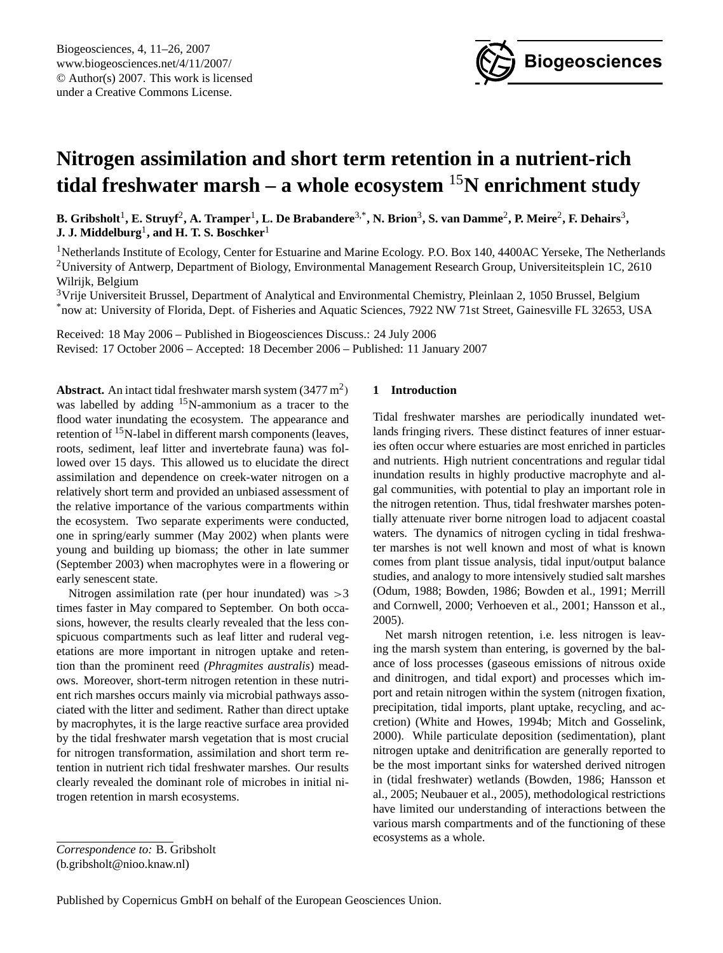

# <span id="page-0-0"></span>**Nitrogen assimilation and short term retention in a nutrient-rich tidal freshwater marsh – a whole ecosystem** <sup>15</sup>**N enrichment study**

 ${\bf B.~Gribshot}^1, {\bf E.~Struyf}^2, {\bf A.~Tramper}^1, {\bf L.~De~Brabandere}^{3, *}, {\bf N.~Bron}^3, {\bf S.~van~Damme}^2, {\bf P.~Meire}^2, {\bf F.~Dehairs}^3,$ **J. J. Middelburg**<sup>1</sup> **, and H. T. S. Boschker**<sup>1</sup>

<sup>1</sup>Netherlands Institute of Ecology, Center for Estuarine and Marine Ecology. P.O. Box 140, 4400AC Yerseke, The Netherlands <sup>2</sup>University of Antwerp, Department of Biology, Environmental Management Research Group, Universiteitsplein 1C, 2610 Wilrijk, Belgium

<sup>3</sup>Vrije Universiteit Brussel, Department of Analytical and Environmental Chemistry, Pleinlaan 2, 1050 Brussel, Belgium \*now at: University of Florida, Dept. of Fisheries and Aquatic Sciences, 7922 NW 71st Street, Gainesville FL 32653, USA

Received: 18 May 2006 – Published in Biogeosciences Discuss.: 24 July 2006 Revised: 17 October 2006 – Accepted: 18 December 2006 – Published: 11 January 2007

**Abstract.** An intact tidal freshwater marsh system  $(3477 \text{ m}^2)$ was labelled by adding <sup>15</sup>N-ammonium as a tracer to the flood water inundating the ecosystem. The appearance and retention of <sup>15</sup>N-label in different marsh components (leaves, roots, sediment, leaf litter and invertebrate fauna) was followed over 15 days. This allowed us to elucidate the direct assimilation and dependence on creek-water nitrogen on a relatively short term and provided an unbiased assessment of the relative importance of the various compartments within the ecosystem. Two separate experiments were conducted, one in spring/early summer (May 2002) when plants were young and building up biomass; the other in late summer (September 2003) when macrophytes were in a flowering or early senescent state.

Nitrogen assimilation rate (per hour inundated) was  $>3$ times faster in May compared to September. On both occasions, however, the results clearly revealed that the less conspicuous compartments such as leaf litter and ruderal vegetations are more important in nitrogen uptake and retention than the prominent reed *(Phragmites australis*) meadows. Moreover, short-term nitrogen retention in these nutrient rich marshes occurs mainly via microbial pathways associated with the litter and sediment. Rather than direct uptake by macrophytes, it is the large reactive surface area provided by the tidal freshwater marsh vegetation that is most crucial for nitrogen transformation, assimilation and short term retention in nutrient rich tidal freshwater marshes. Our results clearly revealed the dominant role of microbes in initial nitrogen retention in marsh ecosystems.

## *Correspondence to:* B. Gribsholt (b.gribsholt@nioo.knaw.nl)

## **1 Introduction**

Tidal freshwater marshes are periodically inundated wetlands fringing rivers. These distinct features of inner estuaries often occur where estuaries are most enriched in particles and nutrients. High nutrient concentrations and regular tidal inundation results in highly productive macrophyte and algal communities, with potential to play an important role in the nitrogen retention. Thus, tidal freshwater marshes potentially attenuate river borne nitrogen load to adjacent coastal waters. The dynamics of nitrogen cycling in tidal freshwater marshes is not well known and most of what is known comes from plant tissue analysis, tidal input/output balance studies, and analogy to more intensively studied salt marshes (Odum, 1988; Bowden, 1986; Bowden et al., 1991; Merrill and Cornwell, 2000; Verhoeven et al., 2001; Hansson et al., 2005).

Net marsh nitrogen retention, i.e. less nitrogen is leaving the marsh system than entering, is governed by the balance of loss processes (gaseous emissions of nitrous oxide and dinitrogen, and tidal export) and processes which import and retain nitrogen within the system (nitrogen fixation, precipitation, tidal imports, plant uptake, recycling, and accretion) (White and Howes, 1994b; Mitch and Gosselink, 2000). While particulate deposition (sedimentation), plant nitrogen uptake and denitrification are generally reported to be the most important sinks for watershed derived nitrogen in (tidal freshwater) wetlands (Bowden, 1986; Hansson et al., 2005; Neubauer et al., 2005), methodological restrictions have limited our understanding of interactions between the various marsh compartments and of the functioning of these ecosystems as a whole.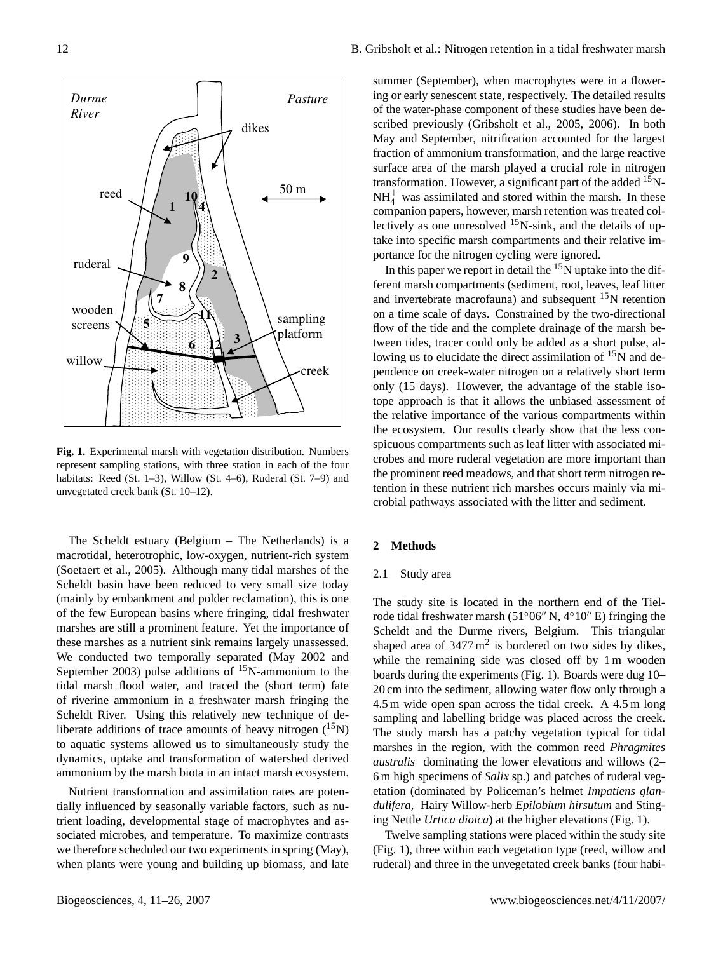**Fig. 1.** Experimental marsh with vegetation distribution. Numbers represent sampling stations, with three station in each of the four habitats: Reed (St. 1–3), Willow (St. 4–6), Ruderal (St. 7–9) and unvegetated creek bank (St. 10–12).

The Scheldt estuary (Belgium – The Netherlands) is a macrotidal, heterotrophic, low-oxygen, nutrient-rich system (Soetaert et al., 2005). Although many tidal marshes of the Scheldt basin have been reduced to very small size today (mainly by embankment and polder reclamation), this is one of the few European basins where fringing, tidal freshwater marshes are still a prominent feature. Yet the importance of these marshes as a nutrient sink remains largely unassessed. We conducted two temporally separated (May 2002 and September 2003) pulse additions of  $15$ N-ammonium to the tidal marsh flood water, and traced the (short term) fate of riverine ammonium in a freshwater marsh fringing the Scheldt River. Using this relatively new technique of deliberate additions of trace amounts of heavy nitrogen  $(^{15}N)$ to aquatic systems allowed us to simultaneously study the dynamics, uptake and transformation of watershed derived ammonium by the marsh biota in an intact marsh ecosystem.

Nutrient transformation and assimilation rates are potentially influenced by seasonally variable factors, such as nutrient loading, developmental stage of macrophytes and associated microbes, and temperature. To maximize contrasts we therefore scheduled our two experiments in spring (May), when plants were young and building up biomass, and late

12 B. Gribsholt et al.: Nitrogen retention in a tidal freshwater marsh

summer (September), when macrophytes were in a flowering or early senescent state, respectively. The detailed results of the water-phase component of these studies have been described previously (Gribsholt et al., 2005, 2006). In both May and September, nitrification accounted for the largest fraction of ammonium transformation, and the large reactive surface area of the marsh played a crucial role in nitrogen transformation. However, a significant part of the added  $15$ N- $NH<sub>4</sub><sup>+</sup>$  was assimilated and stored within the marsh. In these companion papers, however, marsh retention was treated collectively as one unresolved  $^{15}$ N-sink, and the details of uptake into specific marsh compartments and their relative importance for the nitrogen cycling were ignored.

In this paper we report in detail the  $15N$  uptake into the different marsh compartments (sediment, root, leaves, leaf litter and invertebrate macrofauna) and subsequent <sup>15</sup>N retention on a time scale of days. Constrained by the two-directional flow of the tide and the complete drainage of the marsh between tides, tracer could only be added as a short pulse, allowing us to elucidate the direct assimilation of  $^{15}N$  and dependence on creek-water nitrogen on a relatively short term only (15 days). However, the advantage of the stable isotope approach is that it allows the unbiased assessment of the relative importance of the various compartments within the ecosystem. Our results clearly show that the less conspicuous compartments such as leaf litter with associated microbes and more ruderal vegetation are more important than the prominent reed meadows, and that short term nitrogen retention in these nutrient rich marshes occurs mainly via microbial pathways associated with the litter and sediment.

### **2 Methods**

#### 2.1 Study area

The study site is located in the northern end of the Tielrode tidal freshwater marsh ( $51°06''$  N,  $4°10''$  E) fringing the Scheldt and the Durme rivers, Belgium. This triangular shaped area of  $3477 \text{ m}^2$  is bordered on two sides by dikes, while the remaining side was closed off by 1 m wooden boards during the experiments (Fig. 1). Boards were dug 10– 20 cm into the sediment, allowing water flow only through a 4.5 m wide open span across the tidal creek. A 4.5 m long sampling and labelling bridge was placed across the creek. The study marsh has a patchy vegetation typical for tidal marshes in the region, with the common reed *Phragmites australis* dominating the lower elevations and willows (2– 6 m high specimens of *Salix* sp.) and patches of ruderal vegetation (dominated by Policeman's helmet *Impatiens glandulifera,* Hairy Willow-herb *Epilobium hirsutum* and Stinging Nettle *Urtica dioica*) at the higher elevations (Fig. 1).

Twelve sampling stations were placed within the study site (Fig. 1), three within each vegetation type (reed, willow and ruderal) and three in the unvegetated creek banks (four habi-

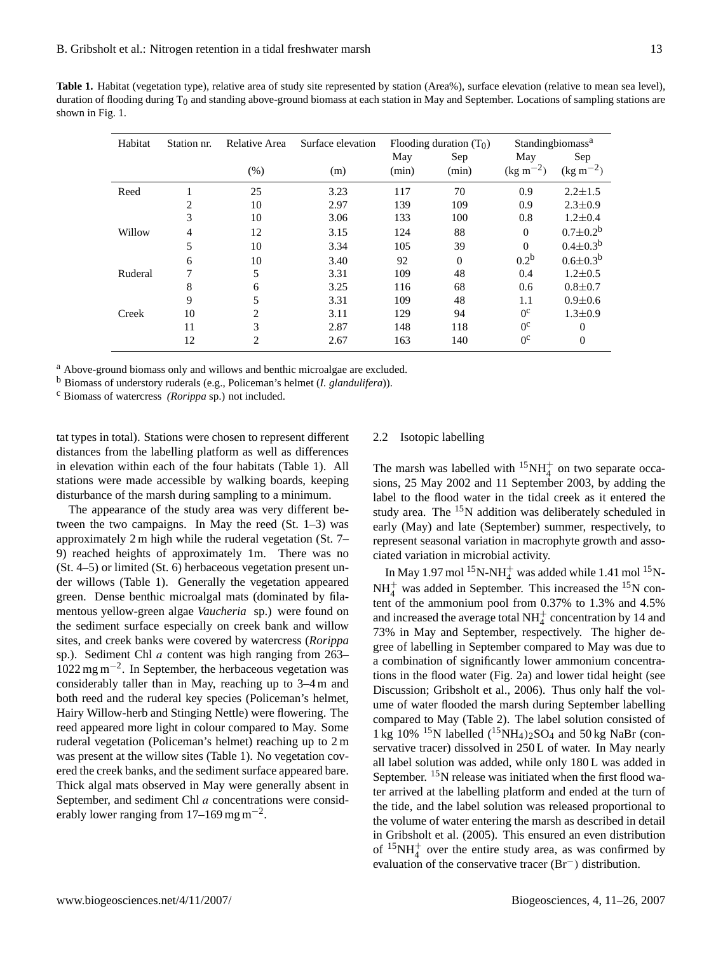**Table 1.** Habitat (vegetation type), relative area of study site represented by station (Area%), surface elevation (relative to mean sea level), duration of flooding during  $T_0$  and standing above-ground biomass at each station in May and September. Locations of sampling stations are shown in Fig. 1.

| Habitat | Station nr.    | Relative Area | Surface elevation | Flooding duration $(T_0)$ |              | Standingbiomass <sup>a</sup> |                      |  |
|---------|----------------|---------------|-------------------|---------------------------|--------------|------------------------------|----------------------|--|
|         |                |               |                   | May                       | Sep          | May                          | Sep                  |  |
|         |                | (% )          | (m)               | (min)                     | (min)        | $(\text{kg m}^{-2})$         | $(\text{kg m}^{-2})$ |  |
| Reed    |                | 25            | 3.23              | 117                       | 70           | 0.9                          | $2.2 \pm 1.5$        |  |
|         | 2              | 10            | 2.97              | 139                       | 109          | 0.9                          | $2.3 \pm 0.9$        |  |
|         | 3              | 10            | 3.06              | 133                       | 100          | 0.8                          | $1.2 \pm 0.4$        |  |
| Willow  | $\overline{4}$ | 12            | 3.15              | 124                       | 88           | $\overline{0}$               | $0.7 \pm 0.2^b$      |  |
|         | 5              | 10            | 3.34              | 105                       | 39           | $\Omega$                     | $0.4 \pm 0.3^{b}$    |  |
|         | 6              | 10            | 3.40              | 92                        | $\mathbf{0}$ | 0.2 <sup>b</sup>             | $0.6 \pm 0.3^b$      |  |
| Ruderal | 7              | 5             | 3.31              | 109                       | 48           | 0.4                          | $1.2 \pm 0.5$        |  |
|         | 8              | 6             | 3.25              | 116                       | 68           | 0.6                          | $0.8 \pm 0.7$        |  |
|         | 9              | 5             | 3.31              | 109                       | 48           | 1.1                          | $0.9 \pm 0.6$        |  |
| Creek   | 10             | 2             | 3.11              | 129                       | 94           | $0^{\circ}$                  | $1.3 \pm 0.9$        |  |
|         | 11             | 3             | 2.87              | 148                       | 118          | $0^{\circ}$                  | $\theta$             |  |
|         | 12             | 2             | 2.67              | 163                       | 140          | $0^{\circ}$                  | $\overline{0}$       |  |

<sup>a</sup> Above-ground biomass only and willows and benthic microalgae are excluded.

<sup>b</sup> Biomass of understory ruderals (e.g., Policeman's helmet (*I. glandulifera*)).

<sup>c</sup> Biomass of watercress *(Rorippa* sp.) not included.

tat types in total). Stations were chosen to represent different distances from the labelling platform as well as differences in elevation within each of the four habitats (Table 1). All stations were made accessible by walking boards, keeping disturbance of the marsh during sampling to a minimum.

The appearance of the study area was very different between the two campaigns. In May the reed (St. 1–3) was approximately 2 m high while the ruderal vegetation (St. 7– 9) reached heights of approximately 1m. There was no (St. 4–5) or limited (St. 6) herbaceous vegetation present under willows (Table 1). Generally the vegetation appeared green. Dense benthic microalgal mats (dominated by filamentous yellow-green algae *Vaucheria* sp.) were found on the sediment surface especially on creek bank and willow sites, and creek banks were covered by watercress (*Rorippa* sp.). Sediment Chl a content was high ranging from 263– 1022 mg m−<sup>2</sup> . In September, the herbaceous vegetation was considerably taller than in May, reaching up to 3–4 m and both reed and the ruderal key species (Policeman's helmet, Hairy Willow-herb and Stinging Nettle) were flowering. The reed appeared more light in colour compared to May. Some ruderal vegetation (Policeman's helmet) reaching up to 2 m was present at the willow sites (Table 1). No vegetation covered the creek banks, and the sediment surface appeared bare. Thick algal mats observed in May were generally absent in September, and sediment Chl *a* concentrations were consid2.2 Isotopic labelling

The marsh was labelled with  ${}^{15}NH_4^+$  on two separate occasions, 25 May 2002 and 11 September 2003, by adding the label to the flood water in the tidal creek as it entered the study area. The <sup>15</sup>N addition was deliberately scheduled in early (May) and late (September) summer, respectively, to represent seasonal variation in macrophyte growth and associated variation in microbial activity.

In May 1.97 mol  $^{15}$ N-NH<sub>4</sub><sup>+</sup> was added while 1.41 mol  $^{15}$ N- $NH<sub>4</sub><sup>+</sup>$  was added in September. This increased the <sup>15</sup>N content of the ammonium pool from 0.37% to 1.3% and 4.5% and increased the average total  $NH<sub>4</sub><sup>+</sup>$  concentration by 14 and 73% in May and September, respectively. The higher degree of labelling in September compared to May was due to a combination of significantly lower ammonium concentrations in the flood water (Fig. 2a) and lower tidal height (see Discussion; Gribsholt et al., 2006). Thus only half the volume of water flooded the marsh during September labelling compared to May (Table 2). The label solution consisted of 1 kg 10%  $^{15}$ N labelled ( $^{15}$ NH<sub>4</sub>)<sub>2</sub>SO<sub>4</sub> and 50 kg NaBr (conservative tracer) dissolved in 250 L of water. In May nearly all label solution was added, while only 180 L was added in September. <sup>15</sup>N release was initiated when the first flood water arrived at the labelling platform and ended at the turn of the tide, and the label solution was released proportional to the volume of water entering the marsh as described in detail in Gribsholt et al. (2005). This ensured an even distribution of  $15NH_4^+$  over the entire study area, as was confirmed by evaluation of the conservative tracer (Br−) distribution.

erably lower ranging from  $17-169$  mg m<sup>-2</sup>.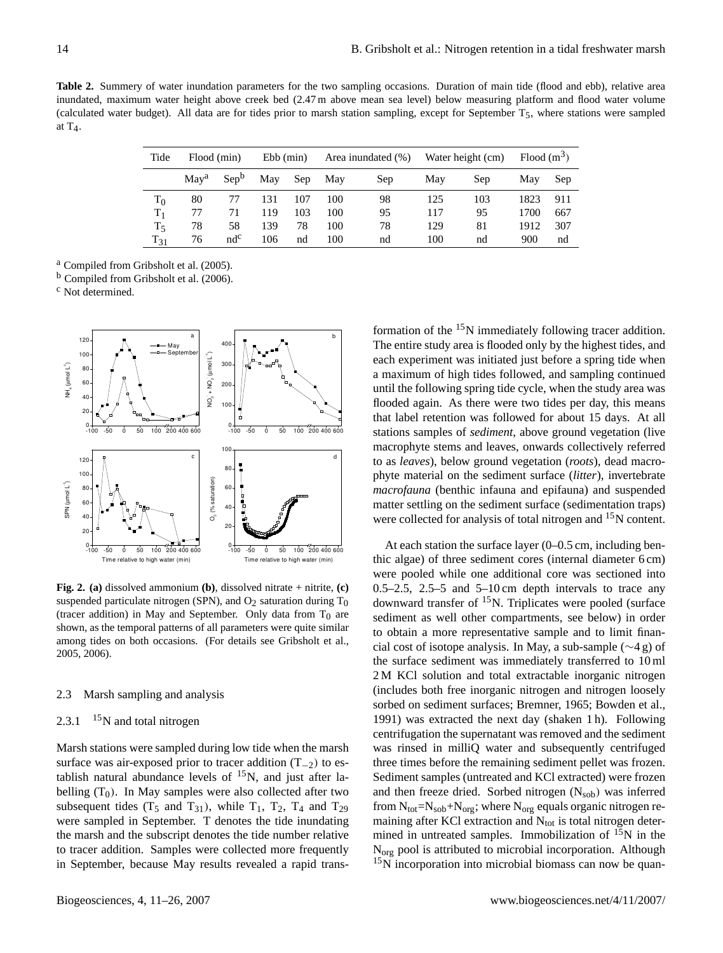**Table 2.** Summery of water inundation parameters for the two sampling occasions. Duration of main tide (flood and ebb), relative area inundated, maximum water height above creek bed (2.47 m above mean sea level) below measuring platform and flood water volume (calculated water budget). All data are for tides prior to marsh station sampling, except for September T5, where stations were sampled at  $T_4$ .

| Tide           | Flood (min)      |                  | Ebb (min) |     | Area inundated (%) |     | Water height (cm) |     | Flood $(m^3)$ |     |
|----------------|------------------|------------------|-----------|-----|--------------------|-----|-------------------|-----|---------------|-----|
|                | May <sup>a</sup> | Sep <sup>b</sup> | May       | Sep | May                | Sep | May               | Sep | May           | Sep |
| T0             | 80               | 77               | 131       | 107 | 100                | 98  | 125               | 103 | 1823          | 911 |
| T <sub>1</sub> | 77               | 71               | 119       | 103 | 100                | 95  | 117               | 95  | 1700          | 667 |
| T٢             | 78               | 58               | 139       | 78  | 100                | 78  | 129               | 81  | 1912          | 307 |
| $T_{31}$       | 76               | $nd^c$           | 106       | nd  | 100                | nd  | 100               | nd  | 900           | nd  |

<sup>a</sup> Compiled from Gribsholt et al. (2005).

<sup>b</sup> Compiled from Gribsholt et al. (2006).

<sup>c</sup> Not determined.



**Fig. 2. (a)** dissolved ammonium **(b)**, dissolved nitrate + nitrite, **(c)** suspended particulate nitrogen (SPN), and  $O_2$  saturation during  $T_0$ (tracer addition) in May and September. Only data from  $T_0$  are shown, as the temporal patterns of all parameters were quite similar among tides on both occasions. (For details see Gribsholt et al., 2005, 2006).

#### 2.3 Marsh sampling and analysis

## 2.3.1  $15$ N and total nitrogen

Marsh stations were sampled during low tide when the marsh surface was air-exposed prior to tracer addition  $(T_2)$  to establish natural abundance levels of  $^{15}N$ , and just after labelling  $(T_0)$ . In May samples were also collected after two subsequent tides  $(T_5 \text{ and } T_{31})$ , while  $T_1$ ,  $T_2$ ,  $T_4$  and  $T_{29}$ were sampled in September. T denotes the tide inundating the marsh and the subscript denotes the tide number relative to tracer addition. Samples were collected more frequently in September, because May results revealed a rapid transformation of the  $15N$  immediately following tracer addition. The entire study area is flooded only by the highest tides, and each experiment was initiated just before a spring tide when a maximum of high tides followed, and sampling continued until the following spring tide cycle, when the study area was flooded again. As there were two tides per day, this means that label retention was followed for about 15 days. At all stations samples of *sediment*, above ground vegetation (live macrophyte stems and leaves, onwards collectively referred to as *leaves*), below ground vegetation (*roots*), dead macrophyte material on the sediment surface (*litter*), invertebrate *macrofauna* (benthic infauna and epifauna) and suspended matter settling on the sediment surface (sedimentation traps) were collected for analysis of total nitrogen and <sup>15</sup>N content.

At each station the surface layer (0–0.5 cm, including benthic algae) of three sediment cores (internal diameter 6 cm) were pooled while one additional core was sectioned into 0.5–2.5, 2.5–5 and 5–10 cm depth intervals to trace any downward transfer of <sup>15</sup>N. Triplicates were pooled (surface sediment as well other compartments, see below) in order to obtain a more representative sample and to limit financial cost of isotope analysis. In May, a sub-sample (∼4 g) of the surface sediment was immediately transferred to 10 ml 2 M KCl solution and total extractable inorganic nitrogen (includes both free inorganic nitrogen and nitrogen loosely sorbed on sediment surfaces; Bremner, 1965; Bowden et al., 1991) was extracted the next day (shaken 1 h). Following centrifugation the supernatant was removed and the sediment was rinsed in milliQ water and subsequently centrifuged three times before the remaining sediment pellet was frozen. Sediment samples (untreated and KCl extracted) were frozen and then freeze dried. Sorbed nitrogen  $(N_{sob})$  was inferred from  $N_{\rm tot}{=}N_{\rm sob}{+}N_{\rm org}$ ; where  $N_{\rm org}$  equals organic nitrogen remaining after KCl extraction and  $N_{tot}$  is total nitrogen determined in untreated samples. Immobilization of  $15N$  in the N<sub>org</sub> pool is attributed to microbial incorporation. Although  $15$ N incorporation into microbial biomass can now be quan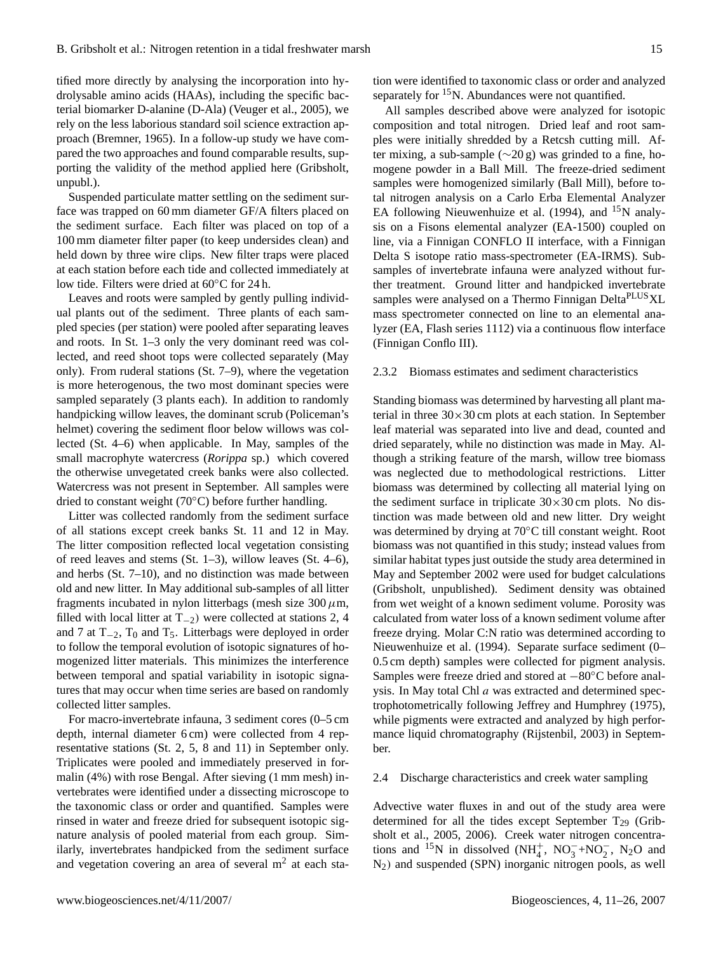tified more directly by analysing the incorporation into hydrolysable amino acids (HAAs), including the specific bacterial biomarker D-alanine (D-Ala) (Veuger et al., 2005), we rely on the less laborious standard soil science extraction approach (Bremner, 1965). In a follow-up study we have compared the two approaches and found comparable results, supporting the validity of the method applied here (Gribsholt, unpubl.).

Suspended particulate matter settling on the sediment surface was trapped on 60 mm diameter GF/A filters placed on the sediment surface. Each filter was placed on top of a 100 mm diameter filter paper (to keep undersides clean) and held down by three wire clips. New filter traps were placed at each station before each tide and collected immediately at low tide. Filters were dried at 60◦C for 24 h.

Leaves and roots were sampled by gently pulling individual plants out of the sediment. Three plants of each sampled species (per station) were pooled after separating leaves and roots. In St. 1–3 only the very dominant reed was collected, and reed shoot tops were collected separately (May only). From ruderal stations (St. 7–9), where the vegetation is more heterogenous, the two most dominant species were sampled separately (3 plants each). In addition to randomly handpicking willow leaves, the dominant scrub (Policeman's helmet) covering the sediment floor below willows was collected (St. 4–6) when applicable. In May, samples of the small macrophyte watercress (*Rorippa* sp.) which covered the otherwise unvegetated creek banks were also collected. Watercress was not present in September. All samples were dried to constant weight (70◦C) before further handling.

Litter was collected randomly from the sediment surface of all stations except creek banks St. 11 and 12 in May. The litter composition reflected local vegetation consisting of reed leaves and stems (St. 1–3), willow leaves (St. 4–6), and herbs (St. 7–10), and no distinction was made between old and new litter. In May additional sub-samples of all litter fragments incubated in nylon litterbags (mesh size  $300 \mu m$ , filled with local litter at  $T_{-2}$ ) were collected at stations 2, 4 and 7 at  $T_{-2}$ ,  $T_0$  and  $T_5$ . Litterbags were deployed in order to follow the temporal evolution of isotopic signatures of homogenized litter materials. This minimizes the interference between temporal and spatial variability in isotopic signatures that may occur when time series are based on randomly collected litter samples.

For macro-invertebrate infauna, 3 sediment cores (0–5 cm depth, internal diameter 6 cm) were collected from 4 representative stations (St. 2, 5, 8 and 11) in September only. Triplicates were pooled and immediately preserved in formalin (4%) with rose Bengal. After sieving (1 mm mesh) invertebrates were identified under a dissecting microscope to the taxonomic class or order and quantified. Samples were rinsed in water and freeze dried for subsequent isotopic signature analysis of pooled material from each group. Similarly, invertebrates handpicked from the sediment surface and vegetation covering an area of several  $m<sup>2</sup>$  at each station were identified to taxonomic class or order and analyzed separately for  $15N$ . Abundances were not quantified.

All samples described above were analyzed for isotopic composition and total nitrogen. Dried leaf and root samples were initially shredded by a Retcsh cutting mill. After mixing, a sub-sample (∼20 g) was grinded to a fine, homogene powder in a Ball Mill. The freeze-dried sediment samples were homogenized similarly (Ball Mill), before total nitrogen analysis on a Carlo Erba Elemental Analyzer EA following Nieuwenhuize et al. (1994), and  $15N$  analysis on a Fisons elemental analyzer (EA-1500) coupled on line, via a Finnigan CONFLO II interface, with a Finnigan Delta S isotope ratio mass-spectrometer (EA-IRMS). Subsamples of invertebrate infauna were analyzed without further treatment. Ground litter and handpicked invertebrate samples were analysed on a Thermo Finnigan Delta<sup>PLUS</sup>XL mass spectrometer connected on line to an elemental analyzer (EA, Flash series 1112) via a continuous flow interface (Finnigan Conflo III).

## 2.3.2 Biomass estimates and sediment characteristics

Standing biomass was determined by harvesting all plant material in three  $30 \times 30$  cm plots at each station. In September leaf material was separated into live and dead, counted and dried separately, while no distinction was made in May. Although a striking feature of the marsh, willow tree biomass was neglected due to methodological restrictions. Litter biomass was determined by collecting all material lying on the sediment surface in triplicate  $30 \times 30$  cm plots. No distinction was made between old and new litter. Dry weight was determined by drying at 70◦C till constant weight. Root biomass was not quantified in this study; instead values from similar habitat types just outside the study area determined in May and September 2002 were used for budget calculations (Gribsholt, unpublished). Sediment density was obtained from wet weight of a known sediment volume. Porosity was calculated from water loss of a known sediment volume after freeze drying. Molar C:N ratio was determined according to Nieuwenhuize et al. (1994). Separate surface sediment (0– 0.5 cm depth) samples were collected for pigment analysis. Samples were freeze dried and stored at −80◦C before analysis. In May total Chl a was extracted and determined spectrophotometrically following Jeffrey and Humphrey (1975), while pigments were extracted and analyzed by high performance liquid chromatography (Rijstenbil, 2003) in September.

## 2.4 Discharge characteristics and creek water sampling

Advective water fluxes in and out of the study area were determined for all the tides except September  $T_{29}$  (Gribsholt et al., 2005, 2006). Creek water nitrogen concentrations and <sup>15</sup>N in dissolved (NH<sup>+</sup><sub>4</sub>, NO<sub>3</sub>+NO<sub>2</sub><sup>-</sup>, N<sub>2</sub>O and N2) and suspended (SPN) inorganic nitrogen pools, as well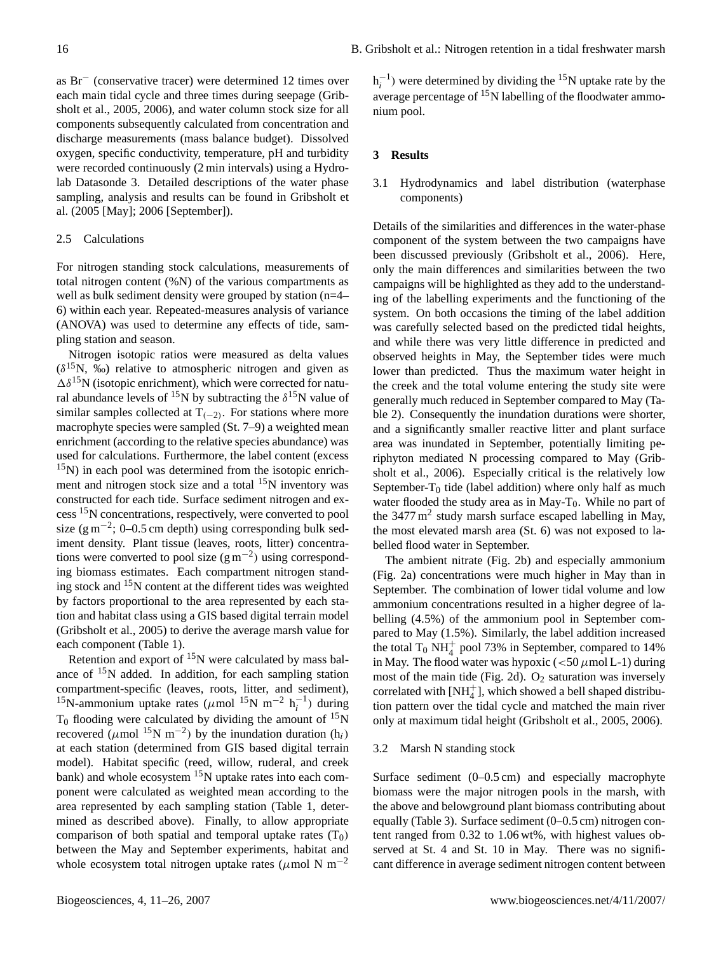as Br<sup>−</sup> (conservative tracer) were determined 12 times over each main tidal cycle and three times during seepage (Gribsholt et al., 2005, 2006), and water column stock size for all components subsequently calculated from concentration and discharge measurements (mass balance budget). Dissolved oxygen, specific conductivity, temperature, pH and turbidity were recorded continuously (2 min intervals) using a Hydrolab Datasonde 3. Detailed descriptions of the water phase sampling, analysis and results can be found in Gribsholt et al. (2005 [May]; 2006 [September]).

## 2.5 Calculations

For nitrogen standing stock calculations, measurements of total nitrogen content (%N) of the various compartments as well as bulk sediment density were grouped by station (n=4– 6) within each year. Repeated-measures analysis of variance (ANOVA) was used to determine any effects of tide, sampling station and season.

Nitrogen isotopic ratios were measured as delta values  $(\delta^{15}N, \%)$  relative to atmospheric nitrogen and given as  $\Delta\delta^{15}$ N (isotopic enrichment), which were corrected for natural abundance levels of <sup>15</sup>N by subtracting the  $\delta^{15}N$  value of similar samples collected at  $T_{(-2)}$ . For stations where more macrophyte species were sampled (St. 7–9) a weighted mean enrichment (according to the relative species abundance) was used for calculations. Furthermore, the label content (excess  $15$ N) in each pool was determined from the isotopic enrichment and nitrogen stock size and a total <sup>15</sup>N inventory was constructed for each tide. Surface sediment nitrogen and excess <sup>15</sup>N concentrations, respectively, were converted to pool size (g m−<sup>2</sup> ; 0–0.5 cm depth) using corresponding bulk sediment density. Plant tissue (leaves, roots, litter) concentrations were converted to pool size  $(g m^{-2})$  using corresponding biomass estimates. Each compartment nitrogen standing stock and  $15N$  content at the different tides was weighted by factors proportional to the area represented by each station and habitat class using a GIS based digital terrain model (Gribsholt et al., 2005) to derive the average marsh value for each component (Table 1).

Retention and export of  $15N$  were calculated by mass balance of <sup>15</sup>N added. In addition, for each sampling station compartment-specific (leaves, roots, litter, and sediment), <sup>15</sup>N-ammonium uptake rates ( $\mu$ mol<sup>15</sup>N m<sup>-2</sup> h<sub>i</sub><sup>-1</sup>) during  $T_0$  flooding were calculated by dividing the amount of  $15N$ recovered ( $\mu$ mol <sup>15</sup>N m<sup>-2</sup>) by the inundation duration (h<sub>i</sub>) at each station (determined from GIS based digital terrain model). Habitat specific (reed, willow, ruderal, and creek bank) and whole ecosystem <sup>15</sup>N uptake rates into each component were calculated as weighted mean according to the area represented by each sampling station (Table 1, determined as described above). Finally, to allow appropriate comparison of both spatial and temporal uptake rates  $(T_0)$ between the May and September experiments, habitat and whole ecosystem total nitrogen uptake rates ( $\mu$ mol N m<sup>-2</sup>

 $h_i^{-1}$ ) were determined by dividing the <sup>15</sup>N uptake rate by the average percentage of  $15N$  labelling of the floodwater ammonium pool.

## **3 Results**

## 3.1 Hydrodynamics and label distribution (waterphase components)

Details of the similarities and differences in the water-phase component of the system between the two campaigns have been discussed previously (Gribsholt et al., 2006). Here, only the main differences and similarities between the two campaigns will be highlighted as they add to the understanding of the labelling experiments and the functioning of the system. On both occasions the timing of the label addition was carefully selected based on the predicted tidal heights, and while there was very little difference in predicted and observed heights in May, the September tides were much lower than predicted. Thus the maximum water height in the creek and the total volume entering the study site were generally much reduced in September compared to May (Table 2). Consequently the inundation durations were shorter, and a significantly smaller reactive litter and plant surface area was inundated in September, potentially limiting periphyton mediated N processing compared to May (Gribsholt et al., 2006). Especially critical is the relatively low September-T $_0$  tide (label addition) where only half as much water flooded the study area as in May- $T_0$ . While no part of the  $3477 \text{ m}^2$  study marsh surface escaped labelling in May, the most elevated marsh area (St. 6) was not exposed to labelled flood water in September.

The ambient nitrate (Fig. 2b) and especially ammonium (Fig. 2a) concentrations were much higher in May than in September. The combination of lower tidal volume and low ammonium concentrations resulted in a higher degree of labelling (4.5%) of the ammonium pool in September compared to May (1.5%). Similarly, the label addition increased the total  $T_0$  NH $_4^+$  pool 73% in September, compared to 14% in May. The flood water was hypoxic ( $<$  50  $\mu$ mol L-1) during most of the main tide (Fig. 2d).  $O_2$  saturation was inversely correlated with  $[NH_4^+]$ , which showed a bell shaped distribution pattern over the tidal cycle and matched the main river only at maximum tidal height (Gribsholt et al., 2005, 2006).

#### 3.2 Marsh N standing stock

Surface sediment (0–0.5 cm) and especially macrophyte biomass were the major nitrogen pools in the marsh, with the above and belowground plant biomass contributing about equally (Table 3). Surface sediment (0–0.5 cm) nitrogen content ranged from 0.32 to 1.06 wt%, with highest values observed at St. 4 and St. 10 in May. There was no significant difference in average sediment nitrogen content between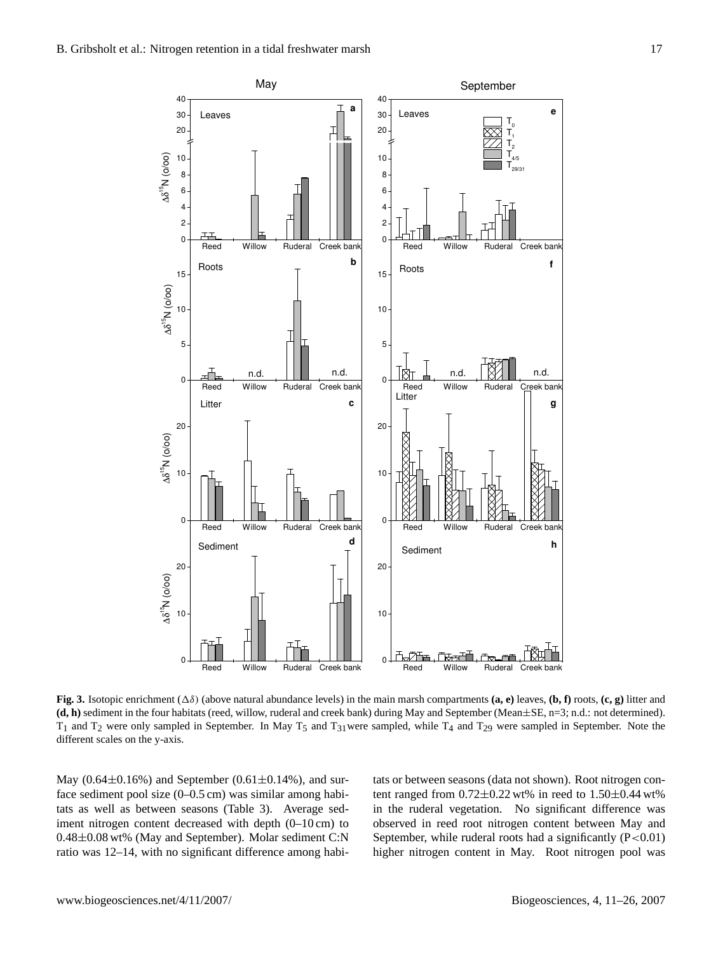

**Fig. 3.** Isotopic enrichment  $(\Delta\delta)$  (above natural abundance levels) in the main marsh compartments  $(a, e)$  leaves,  $(b, f)$  roots,  $(c, g)$  litter and **(d, h)** sediment in the four habitats (reed, willow, ruderal and creek bank) during May and September (Mean±SE, n=3; n.d.: not determined).  $T_1$  and  $T_2$  were only sampled in September. In May  $T_5$  and  $T_{31}$ were sampled, while  $T_4$  and  $T_{29}$  were sampled in September. Note the different scales on the y-axis.

May (0.64 $\pm$ 0.16%) and September (0.61 $\pm$ 0.14%), and surface sediment pool size (0–0.5 cm) was similar among habitats as well as between seasons (Table 3). Average sediment nitrogen content decreased with depth (0–10 cm) to 0.48±0.08 wt% (May and September). Molar sediment C:N ratio was 12–14, with no significant difference among habitats or between seasons (data not shown). Root nitrogen content ranged from  $0.72 \pm 0.22$  wt% in reed to  $1.50 \pm 0.44$  wt% in the ruderal vegetation. No significant difference was observed in reed root nitrogen content between May and September, while ruderal roots had a significantly  $(P<0.01)$ higher nitrogen content in May. Root nitrogen pool was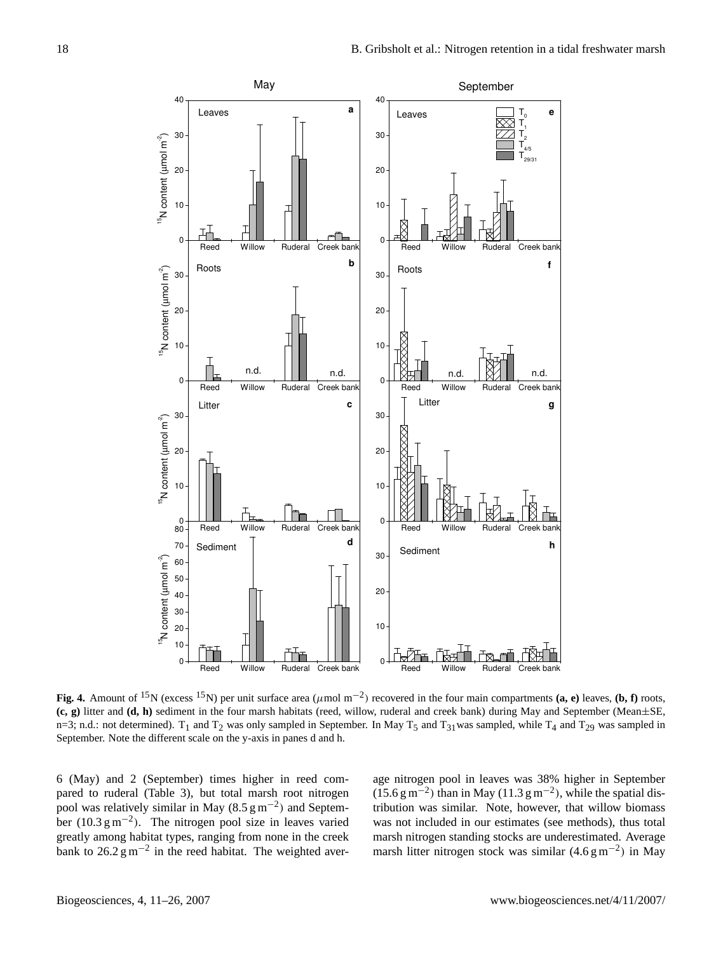

Fig. 4. Amount of <sup>15</sup>N (excess <sup>15</sup>N) per unit surface area ( $\mu$ mol m<sup>-2</sup>) recovered in the four main compartments (a, e) leaves, (b, f) roots, **(c, g)** litter and **(d, h)** sediment in the four marsh habitats (reed, willow, ruderal and creek bank) during May and September (Mean±SE, n=3; n.d.: not determined). T<sub>1</sub> and T<sub>2</sub> was only sampled in September. In May T<sub>5</sub> and T<sub>31</sub>was sampled, while T<sub>4</sub> and T<sub>29</sub> was sampled in September. Note the different scale on the y-axis in panes d and h.

6 (May) and 2 (September) times higher in reed compared to ruderal (Table 3), but total marsh root nitrogen pool was relatively similar in May  $(8.5 \text{ g m}^{-2})$  and September  $(10.3 \text{ g m}^{-2})$ . The nitrogen pool size in leaves varied greatly among habitat types, ranging from none in the creek bank to  $26.2 \text{ g m}^{-2}$  in the reed habitat. The weighted average nitrogen pool in leaves was 38% higher in September  $(15.6 \text{ g m}^{-2})$  than in May  $(11.3 \text{ g m}^{-2})$ , while the spatial distribution was similar. Note, however, that willow biomass was not included in our estimates (see methods), thus total marsh nitrogen standing stocks are underestimated. Average marsh litter nitrogen stock was similar (4.6 g m−<sup>2</sup> ) in May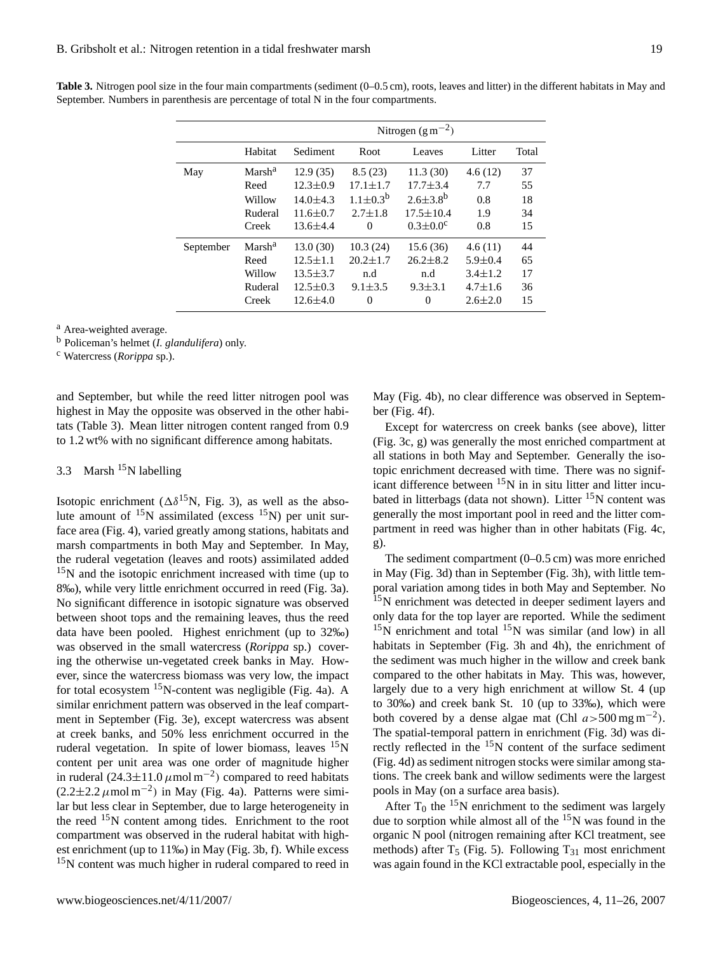|           |                    | Nitrogen $(g m^{-2})$ |                   |                   |               |       |  |  |
|-----------|--------------------|-----------------------|-------------------|-------------------|---------------|-------|--|--|
|           | Habitat            | Sediment              | Root              | Leaves            | Litter        | Total |  |  |
| May       | Marsh <sup>a</sup> | 12.9(35)              | 8.5(23)           | 11.3(30)          | 4.6(12)       | 37    |  |  |
|           | Reed               | $12.3 \pm 0.9$        | $17.1 \pm 1.7$    | $17.7 \pm 3.4$    | 7.7           | 55    |  |  |
|           | Willow             | $14.0 \pm 4.3$        | $1.1 \pm 0.3^{b}$ | $2.6 \pm 3.8^{b}$ | 0.8           | 18    |  |  |
|           | Ruderal            | $11.6 \pm 0.7$        | $2.7 \pm 1.8$     | $17.5 \pm 10.4$   | 1.9           | 34    |  |  |
|           | Creek              | $13.6 \pm 4.4$        | $\Omega$          | $0.3 \pm 0.0^c$   | 0.8           | 15    |  |  |
| September | Marsh <sup>a</sup> | 13.0(30)              | 10.3(24)          | 15.6(36)          | 4.6(11)       | 44    |  |  |
|           | Reed               | $12.5 \pm 1.1$        | $20.2 \pm 1.7$    | $26.2 \pm 8.2$    | $5.9 \pm 0.4$ | 65    |  |  |
|           | Willow             | $13.5 \pm 3.7$        | n.d               | n.d               | $3.4 \pm 1.2$ | 17    |  |  |
|           | Ruderal            | $12.5 \pm 0.3$        | $9.1 \pm 3.5$     | $9.3 \pm 3.1$     | $4.7 \pm 1.6$ | 36    |  |  |
|           | Creek              | $12.6 \pm 4.0$        | $\Omega$          | $\Omega$          | $2.6 \pm 2.0$ | 15    |  |  |

Table 3. Nitrogen pool size in the four main compartments (sediment (0–0.5 cm), roots, leaves and litter) in the different habitats in May and September. Numbers in parenthesis are percentage of total N in the four compartments.

<sup>a</sup> Area-weighted average.

<sup>b</sup> Policeman's helmet (*I. glandulifera*) only.

<sup>c</sup> Watercress (*Rorippa* sp.).

and September, but while the reed litter nitrogen pool was highest in May the opposite was observed in the other habitats (Table 3). Mean litter nitrogen content ranged from 0.9 to 1.2 wt% with no significant difference among habitats.

# 3.3 Marsh  $15N$  labelling

Isotopic enrichment ( $\Delta \delta^{15}$ N, Fig. 3), as well as the absolute amount of  $^{15}N$  assimilated (excess  $^{15}N$ ) per unit surface area (Fig. 4), varied greatly among stations, habitats and marsh compartments in both May and September. In May, the ruderal vegetation (leaves and roots) assimilated added  $15$ N and the isotopic enrichment increased with time (up to 8‰), while very little enrichment occurred in reed (Fig. 3a). No significant difference in isotopic signature was observed between shoot tops and the remaining leaves, thus the reed data have been pooled. Highest enrichment (up to 32‰) was observed in the small watercress (*Rorippa* sp.) covering the otherwise un-vegetated creek banks in May. However, since the watercress biomass was very low, the impact for total ecosystem  $15N$ -content was negligible (Fig. 4a). A similar enrichment pattern was observed in the leaf compartment in September (Fig. 3e), except watercress was absent at creek banks, and 50% less enrichment occurred in the ruderal vegetation. In spite of lower biomass, leaves  $15N$ content per unit area was one order of magnitude higher in ruderal (24.3±11.0  $\mu$ mol m<sup>-2</sup>) compared to reed habitats  $(2.2 \pm 2.2 \,\mu\text{mol m}^{-2})$  in May (Fig. 4a). Patterns were similar but less clear in September, due to large heterogeneity in the reed  $15N$  content among tides. Enrichment to the root compartment was observed in the ruderal habitat with highest enrichment (up to 11‰) in May (Fig. 3b, f). While excess <sup>15</sup>N content was much higher in ruderal compared to reed in

May (Fig. 4b), no clear difference was observed in September (Fig. 4f).

Except for watercress on creek banks (see above), litter (Fig. 3c, g) was generally the most enriched compartment at all stations in both May and September. Generally the isotopic enrichment decreased with time. There was no significant difference between  $15N$  in in situ litter and litter incubated in litterbags (data not shown). Litter <sup>15</sup>N content was generally the most important pool in reed and the litter compartment in reed was higher than in other habitats (Fig. 4c, g).

The sediment compartment (0–0.5 cm) was more enriched in May (Fig. 3d) than in September (Fig. 3h), with little temporal variation among tides in both May and September. No <sup>15</sup>N enrichment was detected in deeper sediment layers and only data for the top layer are reported. While the sediment  $15$ N enrichment and total  $15$ N was similar (and low) in all habitats in September (Fig. 3h and 4h), the enrichment of the sediment was much higher in the willow and creek bank compared to the other habitats in May. This was, however, largely due to a very high enrichment at willow St. 4 (up to 30‰) and creek bank St. 10 (up to 33‰), which were both covered by a dense algae mat (Chl  $a > 500$  mg m<sup>-2</sup>). The spatial-temporal pattern in enrichment (Fig. 3d) was directly reflected in the <sup>15</sup>N content of the surface sediment (Fig. 4d) as sediment nitrogen stocks were similar among stations. The creek bank and willow sediments were the largest pools in May (on a surface area basis).

After  $T_0$  the <sup>15</sup>N enrichment to the sediment was largely due to sorption while almost all of the <sup>15</sup>N was found in the organic N pool (nitrogen remaining after KCl treatment, see methods) after  $T_5$  (Fig. 5). Following  $T_{31}$  most enrichment was again found in the KCl extractable pool, especially in the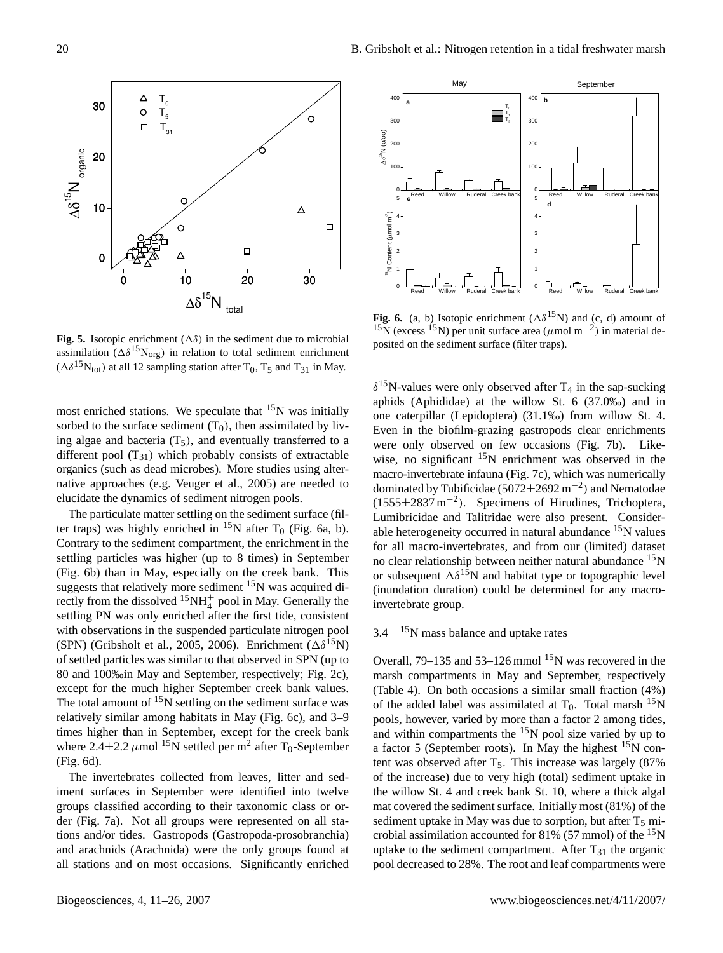

**Fig. 5.** Isotopic enrichment  $(\Delta \delta)$  in the sediment due to microbial assimilation ( $\Delta \delta^{15} \text{N}_{org}$ ) in relation to total sediment enrichment  $(\Delta \delta^{15} N_{tot})$  at all 12 sampling station after T<sub>0</sub>, T<sub>5</sub> and T<sub>31</sub> in May.

most enriched stations. We speculate that  $15N$  was initially sorbed to the surface sediment  $(T_0)$ , then assimilated by living algae and bacteria  $(T_5)$ , and eventually transferred to a different pool  $(T_{31})$  which probably consists of extractable organics (such as dead microbes). More studies using alternative approaches (e.g. Veuger et al., 2005) are needed to elucidate the dynamics of sediment nitrogen pools.

The particulate matter settling on the sediment surface (filter traps) was highly enriched in <sup>15</sup>N after  $T_0$  (Fig. 6a, b). Contrary to the sediment compartment, the enrichment in the settling particles was higher (up to 8 times) in September (Fig. 6b) than in May, especially on the creek bank. This suggests that relatively more sediment <sup>15</sup>N was acquired directly from the dissolved  $15NH_4^+$  pool in May. Generally the settling PN was only enriched after the first tide, consistent with observations in the suspended particulate nitrogen pool (SPN) (Gribsholt et al., 2005, 2006). Enrichment  $(\Delta \delta^{15}N)$ of settled particles was similar to that observed in SPN (up to 80 and 100‰in May and September, respectively; Fig. 2c), except for the much higher September creek bank values. The total amount of  $15N$  settling on the sediment surface was relatively similar among habitats in May (Fig. 6c), and 3–9 times higher than in September, except for the creek bank where  $2.4 \pm 2.2 \,\mu$  mol <sup>15</sup>N settled per m<sup>2</sup> after T<sub>0</sub>-September (Fig. 6d).

The invertebrates collected from leaves, litter and sediment surfaces in September were identified into twelve groups classified according to their taxonomic class or order (Fig. 7a). Not all groups were represented on all stations and/or tides. Gastropods (Gastropoda-prosobranchia) and arachnids (Arachnida) were the only groups found at all stations and on most occasions. Significantly enriched



Fig. 6. (a, b) Isotopic enrichment  $(\Delta \delta^{15}N)$  and (c, d) amount of  $15\overline{N}$  (excess  $15\overline{N}$ ) per unit surface area ( $\mu$ mol m<sup>-2</sup>) in material deposited on the sediment surface (filter traps).

 $\delta^{15}$ N-values were only observed after T<sub>4</sub> in the sap-sucking aphids (Aphididae) at the willow St. 6 (37.0‰) and in one caterpillar (Lepidoptera) (31.1‰) from willow St. 4. Even in the biofilm-grazing gastropods clear enrichments were only observed on few occasions (Fig. 7b). Likewise, no significant  $15N$  enrichment was observed in the macro-invertebrate infauna (Fig. 7c), which was numerically dominated by Tubificidae (5072 $\pm$ 2692 m<sup>-2</sup>) and Nematodae (1555±2837 m−<sup>2</sup> ). Specimens of Hirudines, Trichoptera, Lumibricidae and Talitridae were also present. Considerable heterogeneity occurred in natural abundance  $15N$  values for all macro-invertebrates, and from our (limited) dataset no clear relationship between neither natural abundance <sup>15</sup>N or subsequent  $\Delta \delta^{15}N$  and habitat type or topographic level (inundation duration) could be determined for any macroinvertebrate group.

## $3.4$  1<sup>5</sup>N mass balance and uptake rates

Overall, 79–135 and 53–126 mmol <sup>15</sup>N was recovered in the marsh compartments in May and September, respectively (Table 4). On both occasions a similar small fraction (4%) of the added label was assimilated at  $T_0$ . Total marsh <sup>15</sup>N pools, however, varied by more than a factor 2 among tides, and within compartments the  $15N$  pool size varied by up to a factor 5 (September roots). In May the highest  $^{15}N$  content was observed after  $T_5$ . This increase was largely (87%) of the increase) due to very high (total) sediment uptake in the willow St. 4 and creek bank St. 10, where a thick algal mat covered the sediment surface. Initially most (81%) of the sediment uptake in May was due to sorption, but after  $T_5$  microbial assimilation accounted for 81% (57 mmol) of the  $15N$ uptake to the sediment compartment. After  $T_{31}$  the organic pool decreased to 28%. The root and leaf compartments were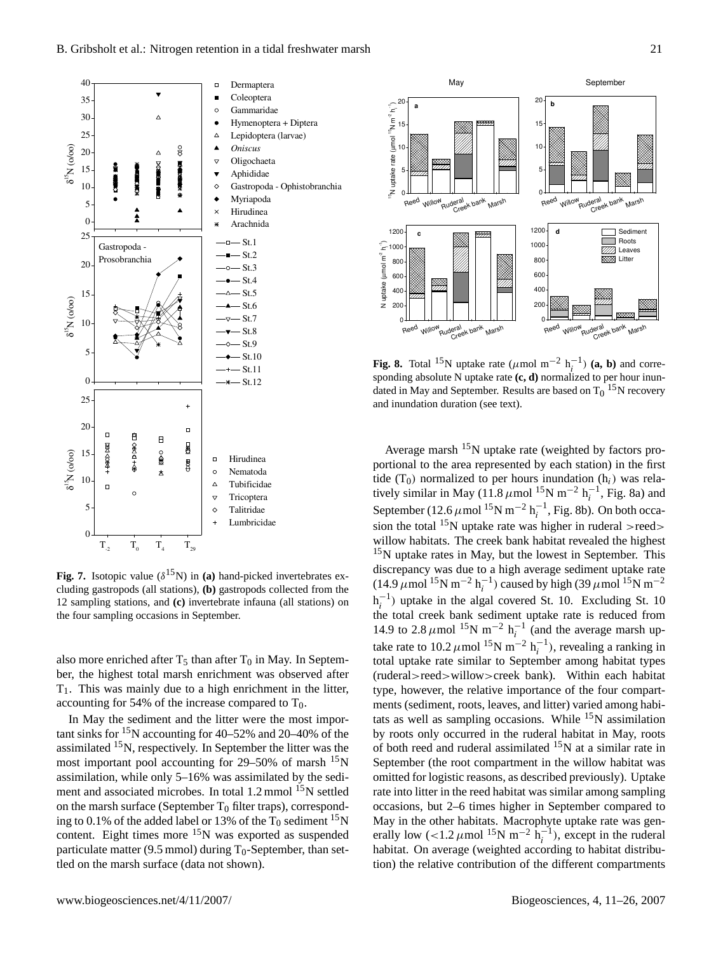

Fig. 7. Isotopic value  $(\delta^{15}N)$  in (a) hand-picked invertebrates excluding gastropods (all stations), **(b)** gastropods collected from the 12 sampling stations, and **(c)** invertebrate infauna (all stations) on the four sampling occasions in September.

also more enriched after  $T_5$  than after  $T_0$  in May. In September, the highest total marsh enrichment was observed after  $T_1$ . This was mainly due to a high enrichment in the litter, accounting for 54% of the increase compared to  $T_0$ .

In May the sediment and the litter were the most important sinks for  $15N$  accounting for 40–52% and 20–40% of the assimilated <sup>15</sup>N, respectively. In September the litter was the most important pool accounting for 29–50% of marsh  $^{15}N$ assimilation, while only 5–16% was assimilated by the sediment and associated microbes. In total 1.2 mmol <sup>15</sup>N settled on the marsh surface (September  $T_0$  filter traps), corresponding to 0.1% of the added label or 13% of the  $T_0$  sediment <sup>15</sup>N content. Eight times more  $15N$  was exported as suspended particulate matter (9.5 mmol) during  $T_0$ -September, than settled on the marsh surface (data not shown).



**Fig. 8.** Total <sup>15</sup>N uptake rate ( $\mu$ mol m<sup>-2</sup> h<sub>i</sub><sup>-1</sup>) (**a**, **b**) and corresponding absolute N uptake rate **(c, d)** normalized to per hour inundated in May and September. Results are based on  $T_0$  <sup>15</sup>N recovery and inundation duration (see text).

Average marsh  $15N$  uptake rate (weighted by factors proportional to the area represented by each station) in the first tide (T<sub>0</sub>) normalized to per hours inundation ( $h_i$ ) was relatively similar in May (11.8  $\mu$ mol <sup>15</sup>N m<sup>-2</sup> h<sub>i</sub><sup>-1</sup>, Fig. 8a) and September (12.6  $\mu$ mol <sup>15</sup>N m<sup>-2</sup> h<sub>i</sub><sup>-1</sup>, Fig. 8b). On both occasion the total <sup>15</sup>N uptake rate was higher in ruderal  $>$ reed $>$ willow habitats. The creek bank habitat revealed the highest <sup>15</sup>N uptake rates in May, but the lowest in September. This discrepancy was due to a high average sediment uptake rate  $(14.9 \ \mu \text{mol}^{15} \text{N m}^{-2} \text{h}_i^{-1})$  caused by high (39  $\mu$  mol  $^{15} \text{N m}^{-2}$  $h_i^{-1}$ ) uptake in the algal covered St. 10. Excluding St. 10 the total creek bank sediment uptake rate is reduced from 14.9 to 2.8  $\mu$ mol <sup>15</sup>N m<sup>-2</sup> h<sub>i</sub><sup>-1</sup> (and the average marsh uptake rate to 10.2  $\mu$  mol <sup>15</sup>N m<sup>-2</sup> h<sub>i</sub><sup>-1</sup>), revealing a ranking in total uptake rate similar to September among habitat types (ruderal>reed>willow>creek bank). Within each habitat type, however, the relative importance of the four compartments (sediment, roots, leaves, and litter) varied among habitats as well as sampling occasions. While  $15N$  assimilation by roots only occurred in the ruderal habitat in May, roots of both reed and ruderal assimilated  $15N$  at a similar rate in September (the root compartment in the willow habitat was omitted for logistic reasons, as described previously). Uptake rate into litter in the reed habitat was similar among sampling occasions, but 2–6 times higher in September compared to May in the other habitats. Macrophyte uptake rate was generally low (<1.2  $\mu$ mol <sup>15</sup>N m<sup>-2</sup> h<sub>i</sub><sup>-1</sup>), except in the ruderal habitat. On average (weighted according to habitat distribution) the relative contribution of the different compartments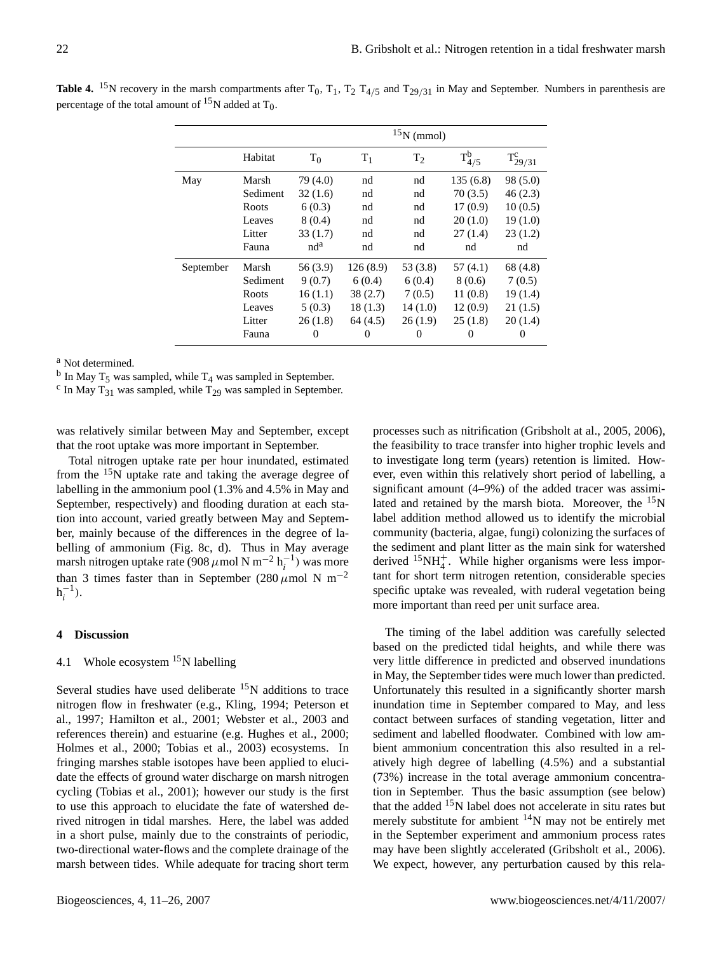|           |          | $15N$ (mmol)    |          |                |           |                 |  |  |
|-----------|----------|-----------------|----------|----------------|-----------|-----------------|--|--|
|           | Habitat  | $\rm T_{0}$     | $T_1$    | T <sub>2</sub> | Тb<br>4/5 | $T_{29/31}^{c}$ |  |  |
| May       | Marsh    | 79 (4.0)        | nd       | nd             | 135(6.8)  | 98 (5.0)        |  |  |
|           | Sediment | 32(1.6)         | nd       | nd             | 70(3.5)   | 46(2.3)         |  |  |
|           | Roots    | 6(0.3)          | nd       | nd             | 17(0.9)   | 10(0.5)         |  |  |
|           | Leaves   | 8(0.4)          | nd       | nd             | 20(1.0)   | 19(1.0)         |  |  |
|           | Litter   | 33(1.7)         | nd       | nd             | 27(1.4)   | 23(1.2)         |  |  |
|           | Fauna    | nd <sup>a</sup> | nd       | nd             | nd        | nd              |  |  |
| September | Marsh    | 56 (3.9)        | 126(8.9) | 53 (3.8)       | 57(4.1)   | 68 (4.8)        |  |  |
|           | Sediment | 9(0.7)          | 6(0.4)   | 6(0.4)         | 8(0.6)    | 7(0.5)          |  |  |
|           | Roots    | 16(1.1)         | 38(2.7)  | 7(0.5)         | 11(0.8)   | 19(1.4)         |  |  |
|           | Leaves   | 5(0.3)          | 18(1.3)  | 14(1.0)        | 12(0.9)   | 21(1.5)         |  |  |
|           | Litter   | 26(1.8)         | 64(4.5)  | 26(1.9)        | 25(1.8)   | 20(1.4)         |  |  |
|           | Fauna    | $\Omega$        | $\theta$ | $\theta$       | $\theta$  | $\Omega$        |  |  |

**Table 4.** <sup>15</sup>N recovery in the marsh compartments after  $T_0$ ,  $T_1$ ,  $T_2$   $T_{4/5}$  and  $T_{29/31}$  in May and September. Numbers in parenthesis are percentage of the total amount of <sup>15</sup>N added at  $T_0$ .

<sup>a</sup> Not determined.

 $<sup>b</sup>$  In May T<sub>5</sub> was sampled, while T<sub>4</sub> was sampled in September.</sup>

 $c$  In May  $T_{31}$  was sampled, while  $T_{29}$  was sampled in September.

was relatively similar between May and September, except that the root uptake was more important in September.

Total nitrogen uptake rate per hour inundated, estimated from the  $15N$  uptake rate and taking the average degree of labelling in the ammonium pool (1.3% and 4.5% in May and September, respectively) and flooding duration at each station into account, varied greatly between May and September, mainly because of the differences in the degree of labelling of ammonium (Fig. 8c, d). Thus in May average marsh nitrogen uptake rate (908  $\mu$ mol N m<sup>-2</sup> h<sub>i</sub><sup>-1</sup>) was more than 3 times faster than in September (280  $\mu$ mol N m<sup>-2</sup>  $h_i^{-1}$ ).

### **4 Discussion**

# 4.1 Whole ecosystem  ${}^{15}N$  labelling

Several studies have used deliberate <sup>15</sup>N additions to trace nitrogen flow in freshwater (e.g., Kling, 1994; Peterson et al., 1997; Hamilton et al., 2001; Webster et al., 2003 and references therein) and estuarine (e.g. Hughes et al., 2000; Holmes et al., 2000; Tobias et al., 2003) ecosystems. In fringing marshes stable isotopes have been applied to elucidate the effects of ground water discharge on marsh nitrogen cycling (Tobias et al., 2001); however our study is the first to use this approach to elucidate the fate of watershed derived nitrogen in tidal marshes. Here, the label was added in a short pulse, mainly due to the constraints of periodic, two-directional water-flows and the complete drainage of the marsh between tides. While adequate for tracing short term processes such as nitrification (Gribsholt at al., 2005, 2006), the feasibility to trace transfer into higher trophic levels and to investigate long term (years) retention is limited. However, even within this relatively short period of labelling, a significant amount (4–9%) of the added tracer was assimilated and retained by the marsh biota. Moreover, the  $^{15}N$ label addition method allowed us to identify the microbial community (bacteria, algae, fungi) colonizing the surfaces of the sediment and plant litter as the main sink for watershed derived  ${}^{15}NH_4^+$ . While higher organisms were less important for short term nitrogen retention, considerable species specific uptake was revealed, with ruderal vegetation being more important than reed per unit surface area.

The timing of the label addition was carefully selected based on the predicted tidal heights, and while there was very little difference in predicted and observed inundations in May, the September tides were much lower than predicted. Unfortunately this resulted in a significantly shorter marsh inundation time in September compared to May, and less contact between surfaces of standing vegetation, litter and sediment and labelled floodwater. Combined with low ambient ammonium concentration this also resulted in a relatively high degree of labelling (4.5%) and a substantial (73%) increase in the total average ammonium concentration in September. Thus the basic assumption (see below) that the added <sup>15</sup>N label does not accelerate in situ rates but merely substitute for ambient  $14N$  may not be entirely met in the September experiment and ammonium process rates may have been slightly accelerated (Gribsholt et al., 2006). We expect, however, any perturbation caused by this rela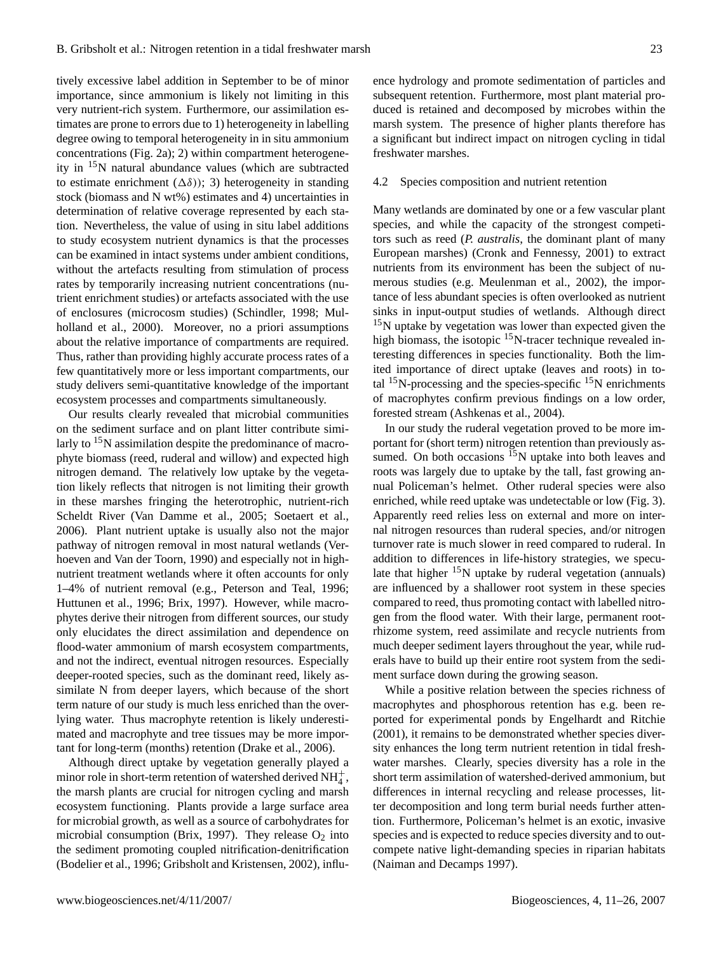tively excessive label addition in September to be of minor importance, since ammonium is likely not limiting in this very nutrient-rich system. Furthermore, our assimilation estimates are prone to errors due to 1) heterogeneity in labelling degree owing to temporal heterogeneity in in situ ammonium concentrations (Fig. 2a); 2) within compartment heterogeneity in  $15N$  natural abundance values (which are subtracted to estimate enrichment  $(\Delta \delta)$ ; 3) heterogeneity in standing stock (biomass and N wt%) estimates and 4) uncertainties in determination of relative coverage represented by each station. Nevertheless, the value of using in situ label additions to study ecosystem nutrient dynamics is that the processes can be examined in intact systems under ambient conditions, without the artefacts resulting from stimulation of process rates by temporarily increasing nutrient concentrations (nutrient enrichment studies) or artefacts associated with the use of enclosures (microcosm studies) (Schindler, 1998; Mulholland et al., 2000). Moreover, no a priori assumptions about the relative importance of compartments are required. Thus, rather than providing highly accurate process rates of a few quantitatively more or less important compartments, our study delivers semi-quantitative knowledge of the important ecosystem processes and compartments simultaneously.

Our results clearly revealed that microbial communities on the sediment surface and on plant litter contribute similarly to <sup>15</sup>N assimilation despite the predominance of macrophyte biomass (reed, ruderal and willow) and expected high nitrogen demand. The relatively low uptake by the vegetation likely reflects that nitrogen is not limiting their growth in these marshes fringing the heterotrophic, nutrient-rich Scheldt River (Van Damme et al., 2005; Soetaert et al., 2006). Plant nutrient uptake is usually also not the major pathway of nitrogen removal in most natural wetlands (Verhoeven and Van der Toorn, 1990) and especially not in highnutrient treatment wetlands where it often accounts for only 1–4% of nutrient removal (e.g., Peterson and Teal, 1996; Huttunen et al., 1996; Brix, 1997). However, while macrophytes derive their nitrogen from different sources, our study only elucidates the direct assimilation and dependence on flood-water ammonium of marsh ecosystem compartments, and not the indirect, eventual nitrogen resources. Especially deeper-rooted species, such as the dominant reed, likely assimilate N from deeper layers, which because of the short term nature of our study is much less enriched than the overlying water. Thus macrophyte retention is likely underestimated and macrophyte and tree tissues may be more important for long-term (months) retention (Drake et al., 2006).

Although direct uptake by vegetation generally played a minor role in short-term retention of watershed derived  $NH_4^+$ , the marsh plants are crucial for nitrogen cycling and marsh ecosystem functioning. Plants provide a large surface area for microbial growth, as well as a source of carbohydrates for microbial consumption (Brix, 1997). They release  $O_2$  into the sediment promoting coupled nitrification-denitrification (Bodelier et al., 1996; Gribsholt and Kristensen, 2002), influence hydrology and promote sedimentation of particles and subsequent retention. Furthermore, most plant material produced is retained and decomposed by microbes within the marsh system. The presence of higher plants therefore has a significant but indirect impact on nitrogen cycling in tidal freshwater marshes.

### 4.2 Species composition and nutrient retention

Many wetlands are dominated by one or a few vascular plant species, and while the capacity of the strongest competitors such as reed (*P. australis*, the dominant plant of many European marshes) (Cronk and Fennessy, 2001) to extract nutrients from its environment has been the subject of numerous studies (e.g. Meulenman et al., 2002), the importance of less abundant species is often overlooked as nutrient sinks in input-output studies of wetlands. Although direct <sup>15</sup>N uptake by vegetation was lower than expected given the high biomass, the isotopic  $15$ N-tracer technique revealed interesting differences in species functionality. Both the limited importance of direct uptake (leaves and roots) in total  $15$ N-processing and the species-specific  $15$ N enrichments of macrophytes confirm previous findings on a low order, forested stream (Ashkenas et al., 2004).

In our study the ruderal vegetation proved to be more important for (short term) nitrogen retention than previously assumed. On both occasions  $^{15}N$  uptake into both leaves and roots was largely due to uptake by the tall, fast growing annual Policeman's helmet. Other ruderal species were also enriched, while reed uptake was undetectable or low (Fig. 3). Apparently reed relies less on external and more on internal nitrogen resources than ruderal species, and/or nitrogen turnover rate is much slower in reed compared to ruderal. In addition to differences in life-history strategies, we speculate that higher  $15N$  uptake by ruderal vegetation (annuals) are influenced by a shallower root system in these species compared to reed, thus promoting contact with labelled nitrogen from the flood water. With their large, permanent rootrhizome system, reed assimilate and recycle nutrients from much deeper sediment layers throughout the year, while ruderals have to build up their entire root system from the sediment surface down during the growing season.

While a positive relation between the species richness of macrophytes and phosphorous retention has e.g. been reported for experimental ponds by Engelhardt and Ritchie (2001), it remains to be demonstrated whether species diversity enhances the long term nutrient retention in tidal freshwater marshes. Clearly, species diversity has a role in the short term assimilation of watershed-derived ammonium, but differences in internal recycling and release processes, litter decomposition and long term burial needs further attention. Furthermore, Policeman's helmet is an exotic, invasive species and is expected to reduce species diversity and to outcompete native light-demanding species in riparian habitats (Naiman and Decamps 1997).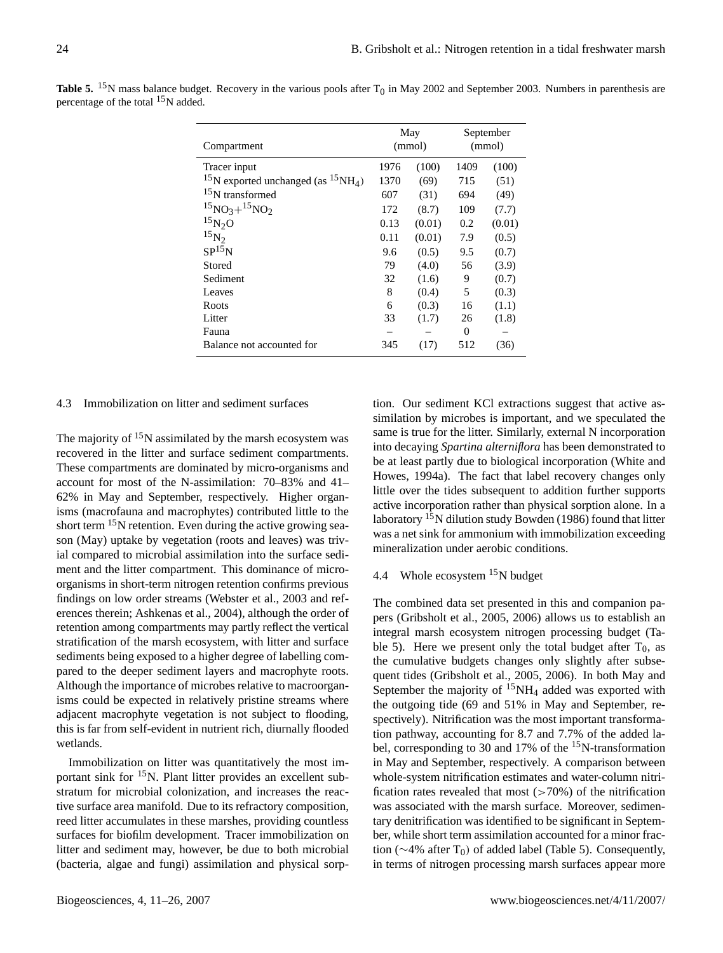| Compartment                                                            |      | May<br>(mmol) | September<br>(mmol) |        |
|------------------------------------------------------------------------|------|---------------|---------------------|--------|
| Tracer input                                                           | 1976 | (100)         | 1409                | (100)  |
| <sup>15</sup> N exported unchanged (as <sup>15</sup> NH <sub>4</sub> ) | 1370 | (69)          | 715                 | (51)   |
| $15$ <sub>N</sub> transformed                                          | 607  | (31)          | 694                 | (49)   |
| $^{15}NO_3 + ^{15}NO_2$                                                | 172  | (8.7)         | 109                 | (7.7)  |
| ${}^{15}N_2$ O                                                         | 0.13 | (0.01)        | 0.2                 | (0.01) |
| 15 <sub>N<sub>2</sub></sub>                                            | 0.11 | (0.01)        | 7.9                 | (0.5)  |
| SP <sup>15</sup> N                                                     | 9.6  | (0.5)         | 9.5                 | (0.7)  |
| Stored                                                                 | 79   | (4.0)         | 56                  | (3.9)  |
| Sediment                                                               | 32   | (1.6)         | 9                   | (0.7)  |
| Leaves                                                                 | 8    | (0.4)         | 5                   | (0.3)  |
| Roots                                                                  | 6    | (0.3)         | 16                  | (1.1)  |
| Litter                                                                 | 33   | (1.7)         | 26                  | (1.8)  |
| Fauna                                                                  |      |               | $\theta$            |        |
| Balance not accounted for                                              | 345  | (17)          | 512                 | (36)   |

**Table 5.** <sup>15</sup>N mass balance budget. Recovery in the various pools after  $T_0$  in May 2002 and September 2003. Numbers in parenthesis are percentage of the total  $15<sub>N</sub>$  added.

### 4.3 Immobilization on litter and sediment surfaces

The majority of  $15N$  assimilated by the marsh ecosystem was recovered in the litter and surface sediment compartments. These compartments are dominated by micro-organisms and account for most of the N-assimilation: 70–83% and 41– 62% in May and September, respectively. Higher organisms (macrofauna and macrophytes) contributed little to the short term <sup>15</sup>N retention. Even during the active growing season (May) uptake by vegetation (roots and leaves) was trivial compared to microbial assimilation into the surface sediment and the litter compartment. This dominance of microorganisms in short-term nitrogen retention confirms previous findings on low order streams (Webster et al., 2003 and references therein; Ashkenas et al., 2004), although the order of retention among compartments may partly reflect the vertical stratification of the marsh ecosystem, with litter and surface sediments being exposed to a higher degree of labelling compared to the deeper sediment layers and macrophyte roots. Although the importance of microbes relative to macroorganisms could be expected in relatively pristine streams where adjacent macrophyte vegetation is not subject to flooding, this is far from self-evident in nutrient rich, diurnally flooded wetlands.

Immobilization on litter was quantitatively the most important sink for <sup>15</sup>N. Plant litter provides an excellent substratum for microbial colonization, and increases the reactive surface area manifold. Due to its refractory composition, reed litter accumulates in these marshes, providing countless surfaces for biofilm development. Tracer immobilization on litter and sediment may, however, be due to both microbial (bacteria, algae and fungi) assimilation and physical sorption. Our sediment KCl extractions suggest that active assimilation by microbes is important, and we speculated the same is true for the litter. Similarly, external N incorporation into decaying *Spartina alterniflora* has been demonstrated to be at least partly due to biological incorporation (White and Howes, 1994a). The fact that label recovery changes only little over the tides subsequent to addition further supports active incorporation rather than physical sorption alone. In a laboratory  $15N$  dilution study Bowden (1986) found that litter was a net sink for ammonium with immobilization exceeding mineralization under aerobic conditions.

# 4.4 Whole ecosystem <sup>15</sup>N budget

The combined data set presented in this and companion papers (Gribsholt et al., 2005, 2006) allows us to establish an integral marsh ecosystem nitrogen processing budget (Table 5). Here we present only the total budget after  $T_0$ , as the cumulative budgets changes only slightly after subsequent tides (Gribsholt et al., 2005, 2006). In both May and September the majority of  $15NH_4$  added was exported with the outgoing tide (69 and 51% in May and September, respectively). Nitrification was the most important transformation pathway, accounting for 8.7 and 7.7% of the added label, corresponding to 30 and 17% of the  $15$ N-transformation in May and September, respectively. A comparison between whole-system nitrification estimates and water-column nitrification rates revealed that most  $(>70%)$  of the nitrification was associated with the marsh surface. Moreover, sedimentary denitrification was identified to be significant in September, while short term assimilation accounted for a minor fraction ( $\sim$ 4% after T<sub>0</sub>) of added label (Table 5). Consequently, in terms of nitrogen processing marsh surfaces appear more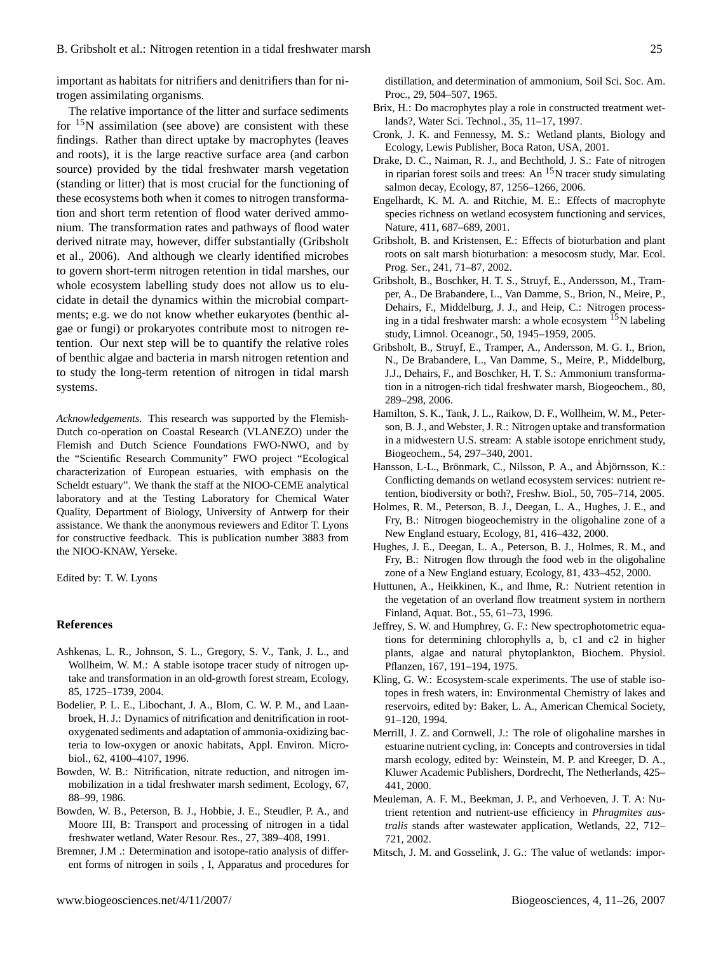important as habitats for nitrifiers and denitrifiers than for nitrogen assimilating organisms.

The relative importance of the litter and surface sediments for  $15N$  assimilation (see above) are consistent with these findings. Rather than direct uptake by macrophytes (leaves and roots), it is the large reactive surface area (and carbon source) provided by the tidal freshwater marsh vegetation (standing or litter) that is most crucial for the functioning of these ecosystems both when it comes to nitrogen transformation and short term retention of flood water derived ammonium. The transformation rates and pathways of flood water derived nitrate may, however, differ substantially (Gribsholt et al., 2006). And although we clearly identified microbes to govern short-term nitrogen retention in tidal marshes, our whole ecosystem labelling study does not allow us to elucidate in detail the dynamics within the microbial compartments; e.g. we do not know whether eukaryotes (benthic algae or fungi) or prokaryotes contribute most to nitrogen retention. Our next step will be to quantify the relative roles of benthic algae and bacteria in marsh nitrogen retention and to study the long-term retention of nitrogen in tidal marsh systems.

*Acknowledgements.* This research was supported by the Flemish-Dutch co-operation on Coastal Research (VLANEZO) under the Flemish and Dutch Science Foundations FWO-NWO, and by the "Scientific Research Community" FWO project "Ecological characterization of European estuaries, with emphasis on the Scheldt estuary". We thank the staff at the NIOO-CEME analytical laboratory and at the Testing Laboratory for Chemical Water Quality, Department of Biology, University of Antwerp for their assistance. We thank the anonymous reviewers and Editor T. Lyons for constructive feedback. This is publication number 3883 from the NIOO-KNAW, Yerseke.

Edited by: T. W. Lyons

#### **References**

- Ashkenas, L. R., Johnson, S. L., Gregory, S. V., Tank, J. L., and Wollheim, W. M.: A stable isotope tracer study of nitrogen uptake and transformation in an old-growth forest stream, Ecology, 85, 1725–1739, 2004.
- Bodelier, P. L. E., Libochant, J. A., Blom, C. W. P. M., and Laanbroek, H. J.: Dynamics of nitrification and denitrification in rootoxygenated sediments and adaptation of ammonia-oxidizing bacteria to low-oxygen or anoxic habitats, Appl. Environ. Microbiol., 62, 4100–4107, 1996.
- Bowden, W. B.: Nitrification, nitrate reduction, and nitrogen immobilization in a tidal freshwater marsh sediment, Ecology, 67, 88–99, 1986.
- Bowden, W. B., Peterson, B. J., Hobbie, J. E., Steudler, P. A., and Moore III, B: Transport and processing of nitrogen in a tidal freshwater wetland, Water Resour. Res., 27, 389–408, 1991.
- Bremner, J.M .: Determination and isotope-ratio analysis of different forms of nitrogen in soils , I, Apparatus and procedures for

distillation, and determination of ammonium, Soil Sci. Soc. Am. Proc., 29, 504–507, 1965.

- Brix, H.: Do macrophytes play a role in constructed treatment wetlands?, Water Sci. Technol., 35, 11–17, 1997.
- Cronk, J. K. and Fennessy, M. S.: Wetland plants, Biology and Ecology, Lewis Publisher, Boca Raton, USA, 2001.
- Drake, D. C., Naiman, R. J., and Bechthold, J. S.: Fate of nitrogen in riparian forest soils and trees: An  $^{15}N$  tracer study simulating salmon decay, Ecology, 87, 1256–1266, 2006.
- Engelhardt, K. M. A. and Ritchie, M. E.: Effects of macrophyte species richness on wetland ecosystem functioning and services, Nature, 411, 687–689, 2001.
- Gribsholt, B. and Kristensen, E.: Effects of bioturbation and plant roots on salt marsh bioturbation: a mesocosm study, Mar. Ecol. Prog. Ser., 241, 71–87, 2002.
- Gribsholt, B., Boschker, H. T. S., Struyf, E., Andersson, M., Tramper, A., De Brabandere, L., Van Damme, S., Brion, N., Meire, P., Dehairs, F., Middelburg, J. J., and Heip, C.: Nitrogen processing in a tidal freshwater marsh: a whole ecosystem  $15N$  labeling study, Limnol. Oceanogr., 50, 1945–1959, 2005.
- Gribsholt, B., Struyf, E., Tramper, A., Andersson, M. G. I., Brion, N., De Brabandere, L., Van Damme, S., Meire, P., Middelburg, J.J., Dehairs, F., and Boschker, H. T. S.: Ammonium transformation in a nitrogen-rich tidal freshwater marsh, Biogeochem., 80, 289–298, 2006.
- Hamilton, S. K., Tank, J. L., Raikow, D. F., Wollheim, W. M., Peterson, B. J., and Webster, J. R.: Nitrogen uptake and transformation in a midwestern U.S. stream: A stable isotope enrichment study, Biogeochem., 54, 297–340, 2001.
- Hansson, L-L., Brönmark, C., Nilsson, P. A., and Åbjörnsson, K.: Conflicting demands on wetland ecosystem services: nutrient retention, biodiversity or both?, Freshw. Biol., 50, 705–714, 2005.
- Holmes, R. M., Peterson, B. J., Deegan, L. A., Hughes, J. E., and Fry, B.: Nitrogen biogeochemistry in the oligohaline zone of a New England estuary, Ecology, 81, 416–432, 2000.
- Hughes, J. E., Deegan, L. A., Peterson, B. J., Holmes, R. M., and Fry, B.: Nitrogen flow through the food web in the oligohaline zone of a New England estuary, Ecology, 81, 433–452, 2000.
- Huttunen, A., Heikkinen, K., and Ihme, R.: Nutrient retention in the vegetation of an overland flow treatment system in northern Finland, Aquat. Bot., 55, 61–73, 1996.
- Jeffrey, S. W. and Humphrey, G. F.: New spectrophotometric equations for determining chlorophylls a, b, c1 and c2 in higher plants, algae and natural phytoplankton, Biochem. Physiol. Pflanzen, 167, 191–194, 1975.
- Kling, G. W.: Ecosystem-scale experiments. The use of stable isotopes in fresh waters, in: Environmental Chemistry of lakes and reservoirs, edited by: Baker, L. A., American Chemical Society, 91–120, 1994.
- Merrill, J. Z. and Cornwell, J.: The role of oligohaline marshes in estuarine nutrient cycling, in: Concepts and controversies in tidal marsh ecology, edited by: Weinstein, M. P. and Kreeger, D. A., Kluwer Academic Publishers, Dordrecht, The Netherlands, 425– 441, 2000.
- Meuleman, A. F. M., Beekman, J. P., and Verhoeven, J. T. A: Nutrient retention and nutrient-use efficiency in *Phragmites australis* stands after wastewater application, Wetlands, 22, 712– 721, 2002.
- Mitsch, J. M. and Gosselink, J. G.: The value of wetlands: impor-